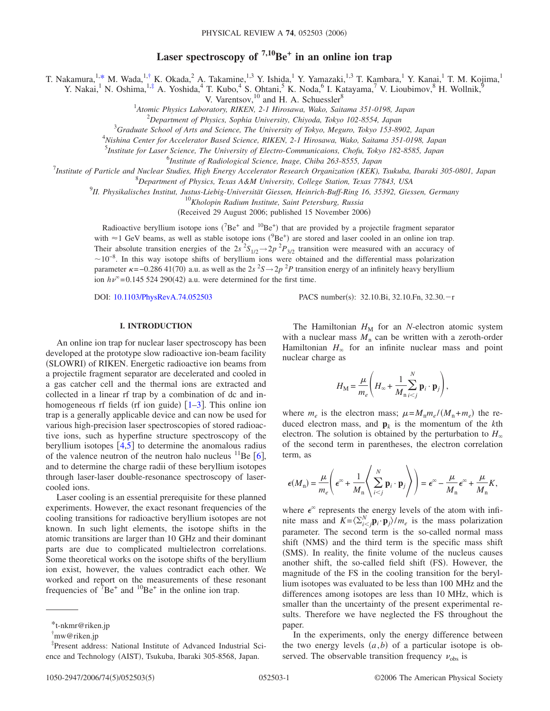# **Laser spectroscopy of**  $7,10$ **Be**<sup> $+$ </sup> **in an online ion trap**

T. Nakamura,<sup>1[,\\*](#page-0-0)</sup> M. Wada,<sup>1[,†](#page-0-1)</sup> K. Okada,<sup>2</sup> A. Takamine,<sup>1,3</sup> Y. Ishida,<sup>1</sup> Y. Yamazaki,<sup>1,3</sup> T. Kambara,<sup>1</sup> Y. Kanai,<sup>1</sup> T. M. Kojima,<sup>1</sup>

Y. Nakai,<sup>1</sup> N. Oshima,<sup>1[,‡](#page-0-2)</sup> A. Yoshida,<sup>4</sup> T. Kubo,<sup>4</sup> S. Ohtani,<sup>5</sup> K. Noda,<sup>6</sup> I. Katayama,<sup>7</sup> V. Lioubimov,<sup>8</sup> H. Wollnik,<sup>9</sup>

V. Varentsov, $^{10}$  and H. A. Schuessler $^8$ 

1 *Atomic Physics Laboratory, RIKEN, 2-1 Hirosawa, Wako, Saitama 351-0198, Japan*

2 *Department of Physics, Sophia University, Chiyoda, Tokyo 102-8554, Japan*

3 *Graduate School of Arts and Science, The University of Tokyo, Meguro, Tokyo 153-8902, Japan*

4 *Nishina Center for Accelerator Based Science, RIKEN, 2-1 Hirosawa, Wako, Saitama 351-0198, Japan*

5 *Institute for Laser Science, The University of Electro-Communicaions, Chofu, Tokyo 182-8585, Japan*

6 *Institute of Radiological Science, Inage, Chiba 263-8555, Japan*

7 *Institute of Particle and Nuclear Studies, High Energy Accelerator Research Organization (KEK), Tsukuba, Ibaraki 305-0801, Japan*

8 *Department of Physics, Texas A&M University, College Station, Texas 77843, USA*

9 *II. Physikalisches Institut, Justus-Liebig-Universität Giessen, Heinrich-Buff-Ring 16, 35392, Giessen, Germany*

<sup>10</sup>*Kholopin Radium Institute, Saint Petersburg, Russia*

(Received 29 August 2006; published 15 November 2006)

Radioactive beryllium isotope ions ( ${}^{7}Be^{+}$  and  ${}^{10}Be^{+}$ ) that are provided by a projectile fragment separator with  $\approx$  1 GeV beams, as well as stable isotope ions ( $^{9}Be^{+}$ ) are stored and laser cooled in an online ion trap. Their absolute transition energies of the  $2s^2S_{1/2} \rightarrow 2p^2P_{3/2}$  transition were measured with an accuracy of  $\sim$ 10<sup>-8</sup>. In this way isotope shifts of beryllium ions were obtained and the differential mass polarization parameter  $\kappa$  =−0.286 41(70) a.u. as well as the 2*s* <sup>2</sup>*S* → 2*p* <sup>2</sup>*P* transition energy of an infinitely heavy beryllium ion  $h\nu^{\infty}$ =0.145 524 290(42) a.u. were determined for the first time.

DOI: [10.1103/PhysRevA.74.052503](http://dx.doi.org/10.1103/PhysRevA.74.052503)

PACS number(s): 32.10.Bi, 32.10.Fn, 32.30.-r

## **I. INTRODUCTION**

An online ion trap for nuclear laser spectroscopy has been developed at the prototype slow radioactive ion-beam facility (SLOWRI) of RIKEN. Energetic radioactive ion beams from a projectile fragment separator are decelerated and cooled in a gas catcher cell and the thermal ions are extracted and collected in a linear rf trap by a combination of dc and inhomogeneous rf fields (rf ion guide)  $\left[1-3\right]$  $\left[1-3\right]$  $\left[1-3\right]$ . This online ion trap is a generally applicable device and can now be used for various high-precision laser spectroscopies of stored radioactive ions, such as hyperfine structure spectroscopy of the beryllium isotopes  $\lceil 4, 5 \rceil$  $\lceil 4, 5 \rceil$  $\lceil 4, 5 \rceil$  $\lceil 4, 5 \rceil$  $\lceil 4, 5 \rceil$  to determine the anomalous radius of the valence neutron of the neutron halo nucleus  ${}^{11}$ Be [[6](#page-4-4)], and to determine the charge radii of these beryllium isotopes through laser-laser double-resonance spectroscopy of lasercooled ions.

Laser cooling is an essential prerequisite for these planned experiments. However, the exact resonant frequencies of the cooling transitions for radioactive beryllium isotopes are not known. In such light elements, the isotope shifts in the atomic transitions are larger than 10 GHz and their dominant parts are due to complicated multielectron correlations. Some theoretical works on the isotope shifts of the beryllium ion exist, however, the values contradict each other. We worked and report on the measurements of these resonant frequencies of  $\bar{7}Be^{+}$  and  $^{10}Be^{+}$  in the online ion trap.

The Hamiltonian  $H_M$  for an *N*-electron atomic system with a nuclear mass  $M_n$  can be written with a zeroth-order Hamiltonian  $H_{\infty}$  for an infinite nuclear mass and point nuclear charge as

$$
H_{\rm M} = \frac{\mu}{m_e} \left( H_{\infty} + \frac{1}{M_{\rm n}} \sum_{i < j}^{N} \mathbf{p}_i \cdot \mathbf{p}_j \right),
$$

where  $m_e$  is the electron mass;  $\mu = M_n m_e / (M_n + m_e)$  the reduced electron mass, and  $\mathbf{p}_k$  is the momentum of the *k*th electron. The solution is obtained by the perturbation to  $H_{\infty}$ of the second term in parentheses, the electron correlation term, as

$$
\epsilon(M_n) = \frac{\mu}{m_e} \left( \epsilon^{\infty} + \frac{1}{M_n} \left\langle \sum_{i < j}^{N} \mathbf{p}_i \cdot \mathbf{p}_j \right\rangle \right) = \epsilon^{\infty} - \frac{\mu}{M_n} \epsilon^{\infty} + \frac{\mu}{M_n} K,
$$

where  $\epsilon^{\infty}$  represents the energy levels of the atom with infinite mass and  $K = \langle \sum_{i < j}^{N} \mathbf{p}_i \cdot \mathbf{p}_j \rangle / m_e$  is the mass polarization parameter. The second term is the so-called normal mass shift (NMS) and the third term is the specific mass shift (SMS). In reality, the finite volume of the nucleus causes another shift, the so-called field shift (FS). However, the magnitude of the FS in the cooling transition for the beryllium isotopes was evaluated to be less than 100 MHz and the differences among isotopes are less than 10 MHz, which is smaller than the uncertainty of the present experimental results. Therefore we have neglected the FS throughout the paper.

In the experiments, only the energy difference between the two energy levels  $(a,b)$  of a particular isotope is observed. The observable transition frequency  $v_{\text{obs}}$  is

<span id="page-0-0"></span><sup>\*</sup>t-nkmr@riken.jp

<span id="page-0-1"></span><sup>†</sup> mw@riken.jp

<span id="page-0-2"></span><sup>‡</sup> Present address: National Institute of Advanced Industrial Science and Technology (AIST), Tsukuba, Ibaraki 305-8568, Japan.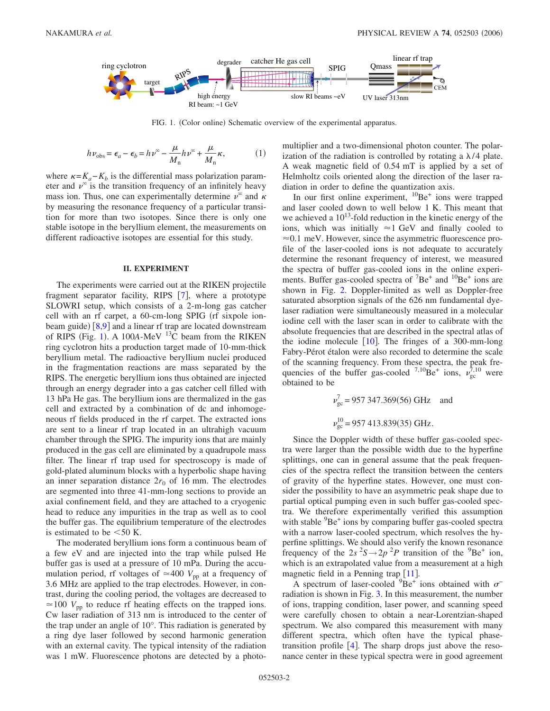<span id="page-1-0"></span>

FIG. 1. (Color online) Schematic overview of the experimental apparatus.

$$
h\nu_{\text{obs}} = \epsilon_a - \epsilon_b = h\nu^{\infty} - \frac{\mu}{M_n} h\nu^{\infty} + \frac{\mu}{M_n} \kappa,
$$
 (1)

<span id="page-1-1"></span>where  $\kappa = K_a - K_b$  is the differential mass polarization parameter and  $\nu^{\infty}$  is the transition frequency of an infinitely heavy mass ion. Thus, one can experimentally determine  $\nu^{\infty}$  and  $\kappa$ by measuring the resonance frequency of a particular transition for more than two isotopes. Since there is only one stable isotope in the beryllium element, the measurements on different radioactive isotopes are essential for this study.

### **II. EXPERIMENT**

The experiments were carried out at the RIKEN projectile fragment separator facility, RIPS  $[7]$  $[7]$  $[7]$ , where a prototype SLOWRI setup, which consists of a 2-m-long gas catcher cell with an rf carpet, a 60-cm-long SPIG (rf sixpole ion-beam guide) [[8,](#page-4-6)[9](#page-4-7)] and a linear rf trap are located downstream of RIPS (Fig. [1](#page-1-0)). A 100*A*-MeV  $^{13}$ C beam from the RIKEN ring cyclotron hits a production target made of 10-mm-thick beryllium metal. The radioactive beryllium nuclei produced in the fragmentation reactions are mass separated by the RIPS. The energetic beryllium ions thus obtained are injected through an energy degrader into a gas catcher cell filled with 13 hPa He gas. The beryllium ions are thermalized in the gas cell and extracted by a combination of dc and inhomogeneous rf fields produced in the rf carpet. The extracted ions are sent to a linear rf trap located in an ultrahigh vacuum chamber through the SPIG. The impurity ions that are mainly produced in the gas cell are eliminated by a quadrupole mass filter. The linear rf trap used for spectroscopy is made of gold-plated aluminum blocks with a hyperbolic shape having an inner separation distance  $2r_0$  of 16 mm. The electrodes are segmented into three 41-mm-long sections to provide an axial confinement field, and they are attached to a cryogenic head to reduce any impurities in the trap as well as to cool the buffer gas. The equilibrium temperature of the electrodes is estimated to be  $<50$  K.

The moderated beryllium ions form a continuous beam of a few eV and are injected into the trap while pulsed He buffer gas is used at a pressure of 10 mPa. During the accumulation period, rf voltages of  $\approx 400 V_{\text{pp}}$  at a frequency of 3.6 MHz are applied to the trap electrodes. However, in contrast, during the cooling period, the voltages are decreased to  $\approx$  100  $V_{\text{pp}}$  to reduce rf heating effects on the trapped ions. Cw laser radiation of 313 nm is introduced to the center of the trap under an angle of 10°. This radiation is generated by a ring dye laser followed by second harmonic generation with an external cavity. The typical intensity of the radiation was 1 mW. Fluorescence photons are detected by a photomultiplier and a two-dimensional photon counter. The polarization of the radiation is controlled by rotating a  $\lambda/4$  plate. A weak magnetic field of 0.54 mT is applied by a set of Helmholtz coils oriented along the direction of the laser radiation in order to define the quantization axis.

In our first online experiment,  ${}^{10}Be^+$  ions were trapped and laser cooled down to well below 1 K. This meant that we achieved a  $10^{13}$ -fold reduction in the kinetic energy of the ions, which was initially  $\approx$ 1 GeV and finally cooled to  $\approx 0.1$  meV. However, since the asymmetric fluorescence profile of the laser-cooled ions is not adequate to accurately determine the resonant frequency of interest, we measured the spectra of buffer gas-cooled ions in the online experiments. Buffer gas-cooled spectra of  ${}^{7}Be^{+}$  and  ${}^{10}Be^{+}$  ions are shown in Fig. [2.](#page-2-0) Doppler-limited as well as Doppler-free saturated absorption signals of the 626 nm fundamental dyelaser radiation were simultaneously measured in a molecular iodine cell with the laser scan in order to calibrate with the absolute frequencies that are described in the spectral atlas of the iodine molecule  $\lceil 10 \rceil$  $\lceil 10 \rceil$  $\lceil 10 \rceil$ . The fringes of a 300-mm-long Fabry-Pérot étalon were also recorded to determine the scale of the scanning frequency. From these spectra, the peak frequencies of the buffer gas-cooled  $^{7,10}$ Be<sup>+</sup> ions,  $\nu_{gc}^{7,10}$  were obtained to be

$$
v_{\text{gc}}^7 = 957\,347.369(56)\,\text{GHz}
$$
 and  
 $v_{\text{gc}}^{10} = 957\,413.839(35)\,\text{GHz}.$ 

Since the Doppler width of these buffer gas-cooled spectra were larger than the possible width due to the hyperfine splittings, one can in general assume that the peak frequencies of the spectra reflect the transition between the centers of gravity of the hyperfine states. However, one must consider the possibility to have an asymmetric peak shape due to partial optical pumping even in such buffer gas-cooled spectra. We therefore experimentally verified this assumption with stable <sup>9</sup>Be<sup>+</sup> ions by comparing buffer gas-cooled spectra with a narrow laser-cooled spectrum, which resolves the hyperfine splittings. We should also verify the known resonance frequency of the  $2s^2S \rightarrow 2p^2P$  transition of the <sup>9</sup>Be<sup>+</sup> ion, which is an extrapolated value from a measurement at a high magnetic field in a Penning trap  $\lceil 11 \rceil$  $\lceil 11 \rceil$  $\lceil 11 \rceil$ .

A spectrum of laser-cooled  $9Be^+$  ions obtained with  $\sigma^$ radiation is shown in Fig. [3.](#page-2-1) In this measurement, the number of ions, trapping condition, laser power, and scanning speed were carefully chosen to obtain a near-Lorentzian-shaped spectrum. We also compared this measurement with many different spectra, which often have the typical phasetransition profile  $[4]$  $[4]$  $[4]$ . The sharp drops just above the resonance center in these typical spectra were in good agreement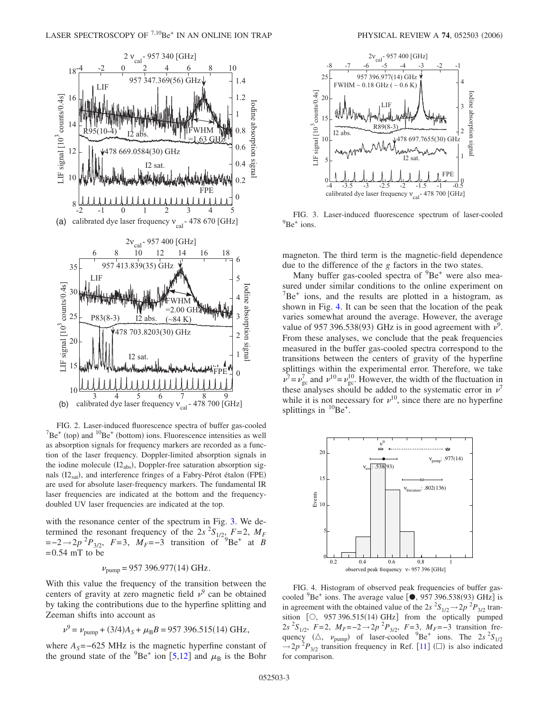<span id="page-2-0"></span>

FIG. 2. Laser-induced fluorescence spectra of buffer gas-cooled  $Be<sup>+</sup>$  (top) and  $<sup>10</sup>Be<sup>+</sup>$  (bottom) ions. Fluorescence intensities as well</sup> as absorption signals for frequency markers are recorded as a function of the laser frequency. Doppler-limited absorption signals in the iodine molecule  $(I2_{abs})$ , Doppler-free saturation absorption signals (I2<sub>sat</sub>), and interference fringes of a Fabry-Pérot étalon (FPE) are used for absolute laser-frequency markers. The fundamental IR laser frequencies are indicated at the bottom and the frequencydoubled UV laser frequencies are indicated at the top.

with the resonance center of the spectrum in Fig. [3.](#page-2-1) We determined the resonant frequency of the 2*s*  ${}^{2}S_{1/2}$ ,  $F=2$ ,  $M_F$  $=-2 \rightarrow 2p^{2}P_{3/2}$ , *F*=3, *M<sub>F</sub>*=−3 transition of  $P^{3}Be^{+}$  at *B*  $=0.54$  mT to be

 $v_{\text{pump}} = 957\,396.977(14)\,\text{GHz}.$ 

With this value the frequency of the transition between the centers of gravity at zero magnetic field  $\nu^9$  can be obtained by taking the contributions due to the hyperfine splitting and Zeeman shifts into account as

$$
\nu^9 = \nu_{\text{pump}} + (3/4)A_S + \mu_B B = 957\,396.515(14)\,\text{GHz},
$$

where  $A<sub>S</sub> = -625$  MHz is the magnetic hyperfine constant of the ground state of the  $^{9}Be^{+}$  ion [[5](#page-4-3)[,12](#page-4-10)] and  $\mu_B$  is the Bohr

<span id="page-2-1"></span>

FIG. 3. Laser-induced fluorescence spectrum of laser-cooled  $^{9}$ Be<sup>+</sup> ions.

magneton. The third term is the magnetic-field dependence due to the difference of the *g* factors in the two states.

Many buffer gas-cooled spectra of <sup>9</sup>Be<sup>+</sup> were also measured under similar conditions to the online experiment on  $7Be<sup>+</sup>$  ions, and the results are plotted in a histogram, as shown in Fig. [4.](#page-2-2) It can be seen that the location of the peak varies somewhat around the average. However, the average value of 957 396.538(93) GHz is in good agreement with  $v^9$ . From these analyses, we conclude that the peak frequencies measured in the buffer gas-cooled spectra correspond to the transitions between the centers of gravity of the hyperfine splittings within the experimental error. Therefore, we take  $v^7 = v_{\text{gc}}^7$  and  $v^{10} = v_{\text{gc}}^{10}$ . However, the width of the fluctuation in these analyses should be added to the systematic error in  $\nu^7$ while it is not necessary for  $v^{10}$ , since there are no hyperfine splittings in  ${}^{10}Be^+$ .

<span id="page-2-2"></span>

FIG. 4. Histogram of observed peak frequencies of buffer gascooled  ${}^{9}Be^+$  ions. The average value  $[\bullet, 957 396.538(93) \text{ GHz}]$  is in agreement with the obtained value of the 2*s*  ${}^{2}S_{1/2}$   $\rightarrow$  2*p*  ${}^{2}P_{3/2}$  transition  $[O, 957 396.515(14) \text{ GHz}]$  from the optically pumped 2*s* <sup>2</sup>*S*<sub>1/2</sub>, *F* = 2, *M<sub>F</sub>* = −2 → 2*p* <sup>2</sup>*P*<sub>3/2</sub>, *F* = 3, *M<sub>F</sub>* = −3 transition frequency ( $\triangle$ ,  $\nu_{\text{pump}}$ ) of laser-cooled <sup>9</sup>Be<sup>+</sup> ions. The 2*s* <sup>2</sup>S<sub>1/2</sub>  $\rightarrow$  2*p*<sup>2</sup> $P_{3/2}$  transition frequency in Ref. [[11](#page-4-9)] ( $\square$ ) is also indicated for comparison.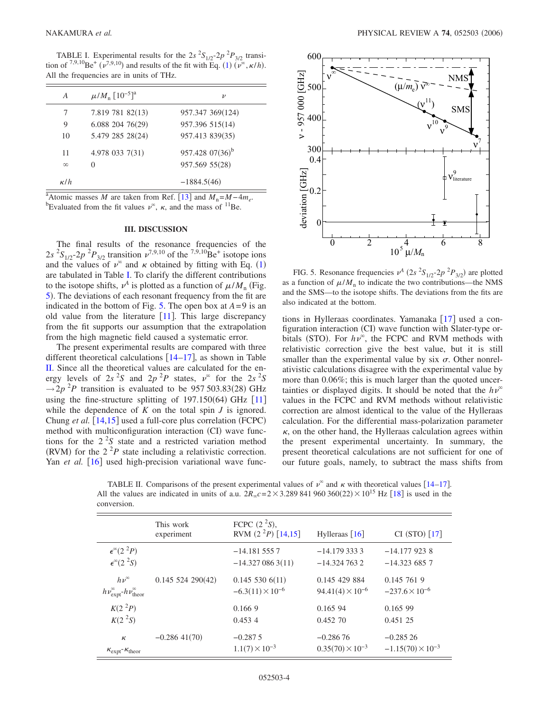<span id="page-3-0"></span>TABLE I. Experimental results for the  $2s^2S_{1/2}$ - $2p^2P_{3/2}$  transi-tion of <sup>7,9,[1](#page-1-1)0</sup>Be<sup>+</sup>  $(\nu^{7,9,10})$  and results of the fit with Eq. (1)  $(\nu^{\infty}, \kappa/h)$ . All the frequencies are in units of THz.

| A          | $\mu/M_{\rm n}$ [10 <sup>-5</sup> ] <sup>a</sup> | ν                 |
|------------|--------------------------------------------------|-------------------|
| 7          | 7.819 781 82(13)                                 | 957.347 369(124)  |
| 9          | $6.088$ 204 76(29)                               | 957.396 515(14)   |
| 10         | 5.479 285 28(24)                                 | 957.413 839(35)   |
| 11         | 4.978 033 7(31)                                  | $957.42807(36)^b$ |
| $\infty$   | 0                                                | 957.569 55(28)    |
| $\kappa/h$ |                                                  | $-1884.5(46)$     |

<sup>a</sup>Atomic masses *M* are taken from Ref. [[13](#page-4-15)] and  $M_n = M - 4m_e$ . Evaluated from the fit values  $v^{\infty}$ ,  $\kappa$ , and the mass of <sup>11</sup>Be.

#### **III. DISCUSSION**

The final results of the resonance frequencies of the  $2s^{2}S_{1/2}$ -2*p*<sup>2</sup> $P_{3/2}$  transition  $\nu^{7,9,10}$  of the <sup>7,9,10</sup>Be<sup>+</sup> isotope ions and the values of  $\nu^{\infty}$  and  $\kappa$  obtained by fitting with Eq. ([1](#page-1-1)) are tabulated in Table [I.](#page-3-0) To clarify the different contributions to the isotope shifts,  $\nu^A$  is plotted as a function of  $\mu/M_{\rm n}$  (Fig. [5](#page-3-1)). The deviations of each resonant frequency from the fit are indicated in the bottom of Fig. [5.](#page-3-1) The open box at  $A = 9$  is an old value from the literature  $[11]$  $[11]$  $[11]$ . This large discrepancy from the fit supports our assumption that the extrapolation from the high magnetic field caused a systematic error.

The present experimental results are compared with three different theoretical calculations  $[14–17]$  $[14–17]$  $[14–17]$  $[14–17]$ , as shown in Table [II.](#page-3-2) Since all the theoretical values are calculated for the energy levels of  $2s^2S$  and  $2p^2P$  states,  $\nu^{\infty}$  for the  $2s^2S$  $\rightarrow$  2*p* <sup>2</sup>*P* transition is evaluated to be 957 503.83(28) GHz using the fine-structure splitting of  $197.150(64)$  GHz  $[11]$  $[11]$  $[11]$ while the dependence of  $K$  on the total spin  $J$  is ignored. Chung et al. [[14,](#page-4-11)[15](#page-4-13)] used a full-core plus correlation (FCPC) method with multiconfiguration interaction (CI) wave functions for the  $2<sup>2</sup>S$  state and a restricted variation method (RVM) for the  $2^2P$  state including a relativistic correction. Yan *et al.* [[16](#page-4-14)] used high-precision variational wave func-

<span id="page-3-1"></span>

FIG. 5. Resonance frequencies  $v^A$  (2s  ${}^2S_{1/2}$ -2p  ${}^2P_{3/2}$ ) are plotted as a function of  $\mu/M$ <sub>n</sub> to indicate the two contributions—the NMS and the SMS—to the isotope shifts. The deviations from the fits are also indicated at the bottom.

tions in Hylleraas coordinates. Yamanaka  $\lceil 17 \rceil$  $\lceil 17 \rceil$  $\lceil 17 \rceil$  used a configuration interaction (CI) wave function with Slater-type orbitals (STO). For  $h\nu^{\infty}$ , the FCPC and RVM methods with relativistic correction give the best value, but it is still smaller than the experimental value by six  $\sigma$ . Other nonrelativistic calculations disagree with the experimental value by more than 0.06%; this is much larger than the quoted uncertainties or displayed digits. It should be noted that the  $h\nu^{\infty}$ values in the FCPC and RVM methods without relativistic correction are almost identical to the value of the Hylleraas calculation. For the differential mass-polarization parameter  $\kappa$ , on the other hand, the Hylleraas calculation agrees within the present experimental uncertainty. In summary, the present theoretical calculations are not sufficient for one of our future goals, namely, to subtract the mass shifts from

<span id="page-3-2"></span>TABLE II. Comparisons of the present experimental values of  $v^{\infty}$  and  $\kappa$  with theoretical values [[14](#page-4-11)[–17](#page-4-12)]. All the values are indicated in units of a.u.  $2R_{\infty}c = 2 \times 3.289841960360(22) \times 10^{15}$  Hz [[18](#page-4-16)] is used in the conversion.

|                                                           | This work<br>experiment | FCPC $(2^2S)$ ,<br>RVM $(2^2P)$ [14,15] | Hylleraas $\lceil 16 \rceil$ | CI (STO) [17]              |
|-----------------------------------------------------------|-------------------------|-----------------------------------------|------------------------------|----------------------------|
| $\epsilon^{\infty}(2^{2}P)$                               |                         | $-14.1815557$                           | $-14.17933333$               | $-14.1779238$              |
| $\epsilon^{\infty}(2^{2}S)$                               |                         | $-14.3270863(11)$                       | $-14.3247632$                | $-14.3236857$              |
| $h\nu^{\infty}$                                           | $0.145$ 524 290(42)     | 0.1455306(11)                           | 0.145 429 884                | 0.145 761 9                |
| $h\nu_{\text{expt}}^{\infty}h\nu_{\text{theor}}^{\infty}$ |                         | $-6.3(11) \times 10^{-6}$               | $94.41(4) \times 10^{-6}$    | $-237.6 \times 10^{-6}$    |
| K(2 <sup>2</sup> P)                                       |                         | 0.1669                                  | 0.165 94                     | 0.165 99                   |
| K(2 <sup>2</sup> S)                                       |                         | 0.4534                                  | 0.452 70                     | 0.451 25                   |
| $\kappa$                                                  | $-0.28641(70)$          | $-0.2875$                               | $-0.28676$                   | $-0.28526$                 |
| $\kappa_{\rm expt}$ - $\kappa_{\rm theor}$                |                         | $1.1(7) \times 10^{-3}$                 | $0.35(70) \times 10^{-3}$    | $-1.15(70) \times 10^{-3}$ |